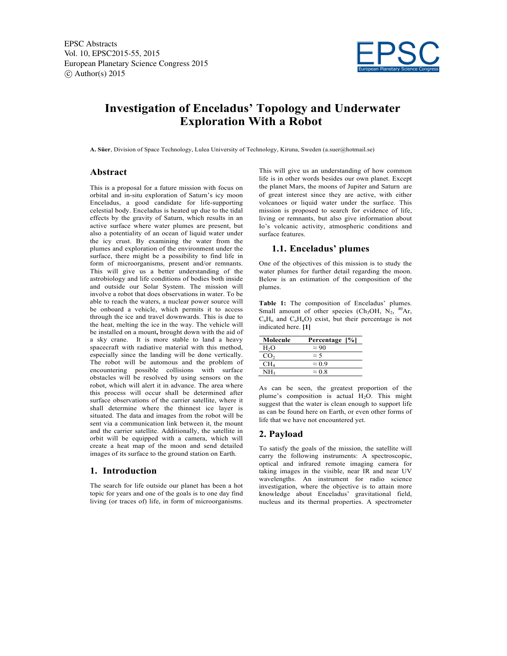EPSC Abstracts Vol. 10, EPSC2015-55, 2015 European Planetary Science Congress 2015  $\circ$  Author(s) 2015



# **Investigation of Enceladus' Topology and Underwater Exploration With a Robot**

**A. Süer**, Division of Space Technology, Lulea University of Technology, Kiruna, Sweden (a.suer@hotmail.se)

#### **Abstract**

This is a proposal for a future mission with focus on orbital and in-situ exploration of Saturn's icy moon Enceladus, a good candidate for life-supporting celestial body. Enceladus is heated up due to the tidal effects by the gravity of Saturn, which results in an active surface where water plumes are present, but also a potentiality of an ocean of liquid water under the icy crust. By examining the water from the plumes and exploration of the environment under the surface, there might be a possibility to find life in form of microorganisms, present and/or remnants. This will give us a better understanding of the astrobiology and life conditions of bodies both inside and outside our Solar System. The mission will involve a robot that does observations in water. To be able to reach the waters, a nuclear power source will be onboard a vehicle, which permits it to access through the ice and travel downwards. This is due to the heat, melting the ice in the way. The vehicle will be installed on a mount**,** brought down with the aid of a sky crane. It is more stable to land a heavy spacecraft with radiative material with this method, especially since the landing will be done vertically. The robot will be automous and the problem of encountering possible collisions with surface obstacles will be resolved by using sensors on the robot, which will alert it in advance. The area where this process will occur shall be determined after surface observations of the carrier satellite, where it shall determine where the thinnest ice layer is situated. The data and images from the robot will be sent via a communication link between it, the mount and the carrier satellite. Additionally, the satellite in orbit will be equipped with a camera, which will create a heat map of the moon and send detailed images of its surface to the ground station on Earth.

#### **1. Introduction**

The search for life outside our planet has been a hot topic for years and one of the goals is to one day find living (or traces of) life, in form of microorganisms. This will give us an understanding of how common life is in other words besides our own planet. Except the planet Mars, the moons of Jupiter and Saturn are of great interest since they are active, with either volcanoes or liquid water under the surface. This mission is proposed to search for evidence of life, living or remnants, but also give information about Io's volcanic activity, atmospheric conditions and surface features.

## **1.1. Enceladus' plumes**

One of the objectives of this mission is to study the water plumes for further detail regarding the moon. Below is an estimation of the composition of the plumes.

**Table 1:** The composition of Enceladus' plumes. Small amount of other species (Ch<sub>3</sub>OH, N<sub>2</sub>, <sup>40</sup>Ar,  $C_nH_n$  and  $C_nH_nO$ ) exist, but their percentage is not indicated here. **[1]**

| Molecule         | Percentage [%] |
|------------------|----------------|
| H <sub>2</sub> O | $\approx 90$   |
| CO <sub>2</sub>  | $\approx$ 5    |
| CH4              | $\approx 0.9$  |
| NH2              | $\approx$ 0.8  |

As can be seen, the greatest proportion of the plume's composition is actual  $H<sub>2</sub>O$ . This might suggest that the water is clean enough to support life as can be found here on Earth, or even other forms of life that we have not encountered yet.

## **2. Payload**

To satisfy the goals of the mission, the satellite will carry the following instruments: A spectroscopic, optical and infrared remote imaging camera for taking images in the visible, near IR and near UV wavelengths. An instrument for radio science investigation, where the objective is to attain more knowledge about Enceladus' gravitational field, nucleus and its thermal properties. A spectrometer